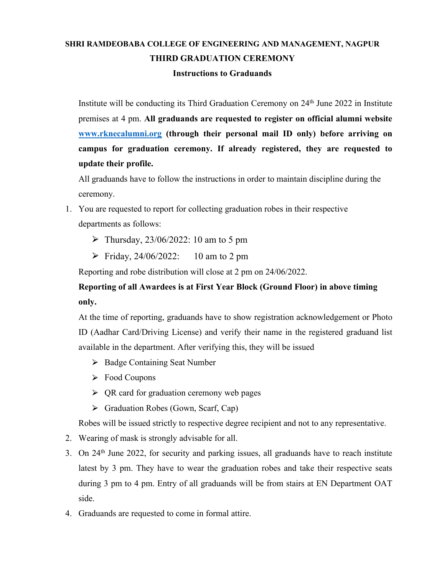## **SHRI RAMDEOBABA COLLEGE OF ENGINEERING AND MANAGEMENT, NAGPUR THIRD GRADUATION CEREMONY**

## **Instructions to Graduands**

Institute will be conducting its Third Graduation Ceremony on 24<sup>th</sup> June 2022 in Institute premises at 4 pm. **All graduands are requested to register on official alumni website [www.rknecalumni.org](http://www.rknecalumni.org) (through their personal mail ID only) before arriving on campus for graduation ceremony. If already registered, they are requested to update their profile.**

All graduands have to follow the instructions in order to maintain discipline during the ceremony.

- 1. You are requested to report for collecting graduation robes in their respective departments as follows:
	- $\triangleright$  Thursday, 23/06/2022: 10 am to 5 pm
	- $\triangleright$  Friday, 24/06/2022: 10 am to 2 pm

Reporting and robe distribution will close at 2 pm on 24/06/2022.

## **Reporting of all Awardees is atFirst Year Block (Ground Floor) in above timing only.**

At the time of reporting, graduands have to show registration acknowledgement or Photo ID (Aadhar Card/Driving License) and verify their name in the registered graduand list available in the department. After verifying this, they will be issued

- ⮚ Badge Containing Seat Number
- ⮚ Food Coupons
- $\triangleright$  QR card for graduation ceremony web pages
- ⮚ Graduation Robes (Gown, Scarf, Cap)

Robes will be issued strictly to respective degree recipient and not to any representative.

- 2. Wearing of mask is strongly advisable for all.
- 3. On 24 th June 2022, for security and parking issues, all graduands have to reach institute latest by 3 pm. They have to wear the graduation robes and take their respective seats during 3 pm to 4 pm. Entry of all graduands will be from stairs at EN Department OAT side.
- 4. Graduands are requested to come in formal attire.